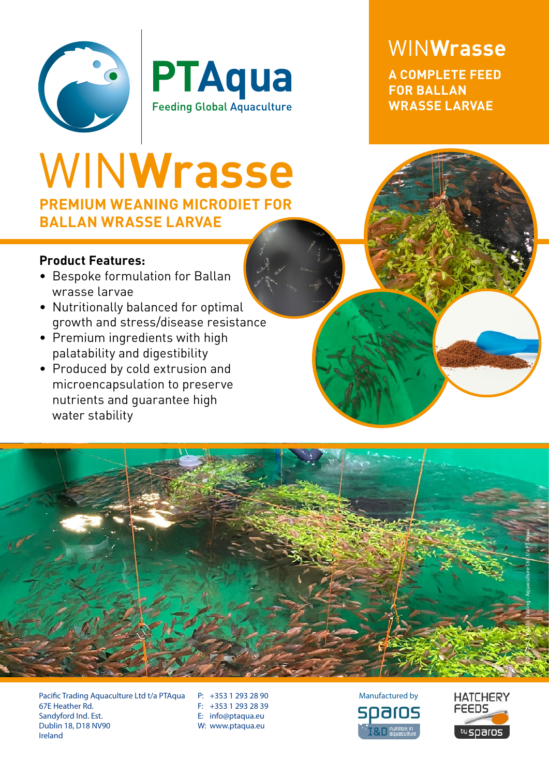



WIN**Wrasse A COMPLETE FEED FOR BALLAN WRASSE LARVAE**

## **PREMIUM WEANING MICRODIET FOR BALLAN WRASSE LARVAE** WIN**Wrasse**

## **Product Features:**

- Bespoke formulation for Ballan wrasse larvae
- Nutritionally balanced for optimal growth and stress/disease resistance
- Premium ingredients with high palatability and digestibility
- Produced by cold extrusion and microencapsulation to preserve nutrients and guarantee high water stability



Pacific Trading Aquaculture Ltd t/a PTAqua 67E Heather Rd. Sandyford Ind. Est. Dublin 18, D18 NV90 Ireland

P: +353 1 293 28 90 F: +353 1 293 28 39 E: info@ptaqua.eu W: www.ptaqua.eu